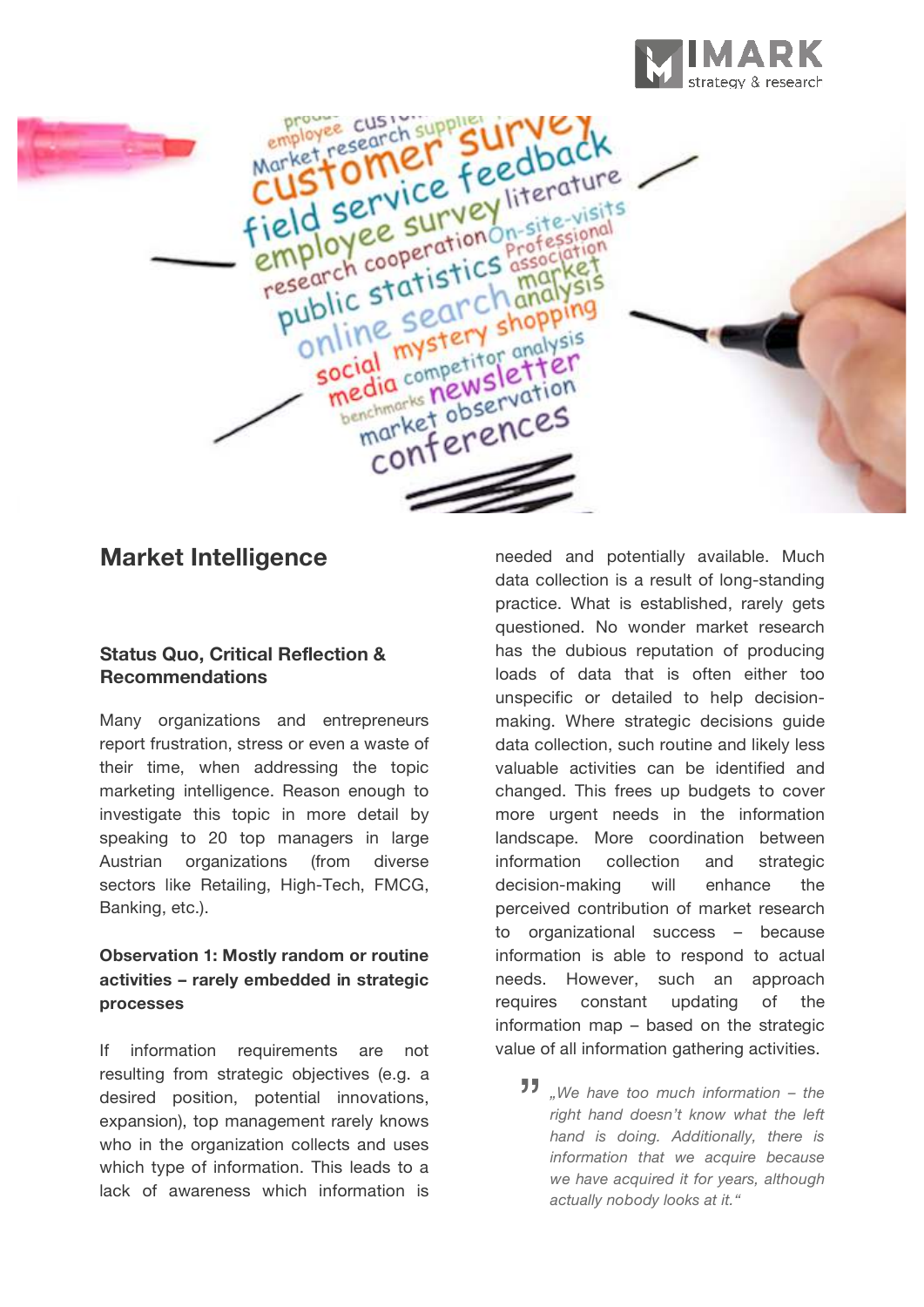



## **Market Intelligence**

#### **Status Quo, Critical Reflection & Recommendations**

Many organizations and entrepreneurs report frustration, stress or even a waste of their time, when addressing the topic marketing intelligence. Reason enough to investigate this topic in more detail by speaking to 20 top managers in large Austrian organizations (from diverse sectors like Retailing, High-Tech, FMCG, Banking, etc.).

## **Observation 1: Mostly random or routine activities – rarely embedded in strategic processes**

If information requirements are not resulting from strategic objectives (e.g. a desired position, potential innovations, expansion), top management rarely knows who in the organization collects and uses which type of information. This leads to a lack of awareness which information is

needed and potentially available. Much data collection is a result of long-standing practice. What is established, rarely gets questioned. No wonder market research has the dubious reputation of producing loads of data that is often either too unspecific or detailed to help decisionmaking. Where strategic decisions guide data collection, such routine and likely less valuable activities can be identified and changed. This frees up budgets to cover more urgent needs in the information landscape. More coordination between information collection and strategic decision-making will enhance the perceived contribution of market research to organizational success – because information is able to respond to actual needs. However, such an approach requires constant updating of the information map – based on the strategic value of all information gathering activities.

ue of all information gathering activities.<br>**33** *"We have too much information – the right hand doesn't know what the left hand is doing. Additionally, there is information that we acquire because we have acquired it for years, although actually nobody looks at it."*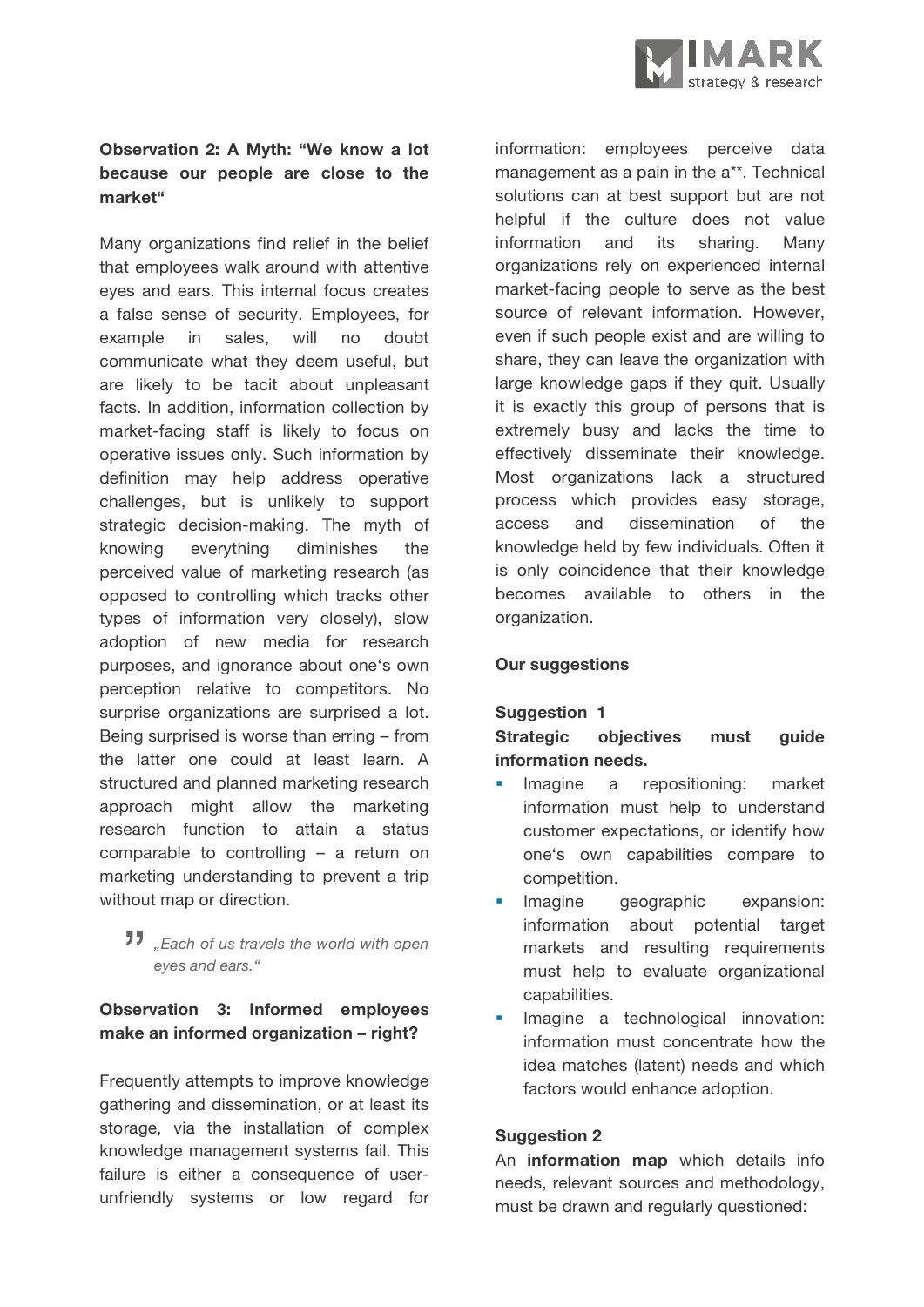## **Observation 2: A Myth: "We know a lot because our people are close to the market"**

Many organizations find relief in the belief that employees walk around with attentive eyes and ears. This internal focus creates a false sense of security. Employees, for example in sales, will no doubt communicate what they deem useful, but are likely to be tacit about unpleasant facts. In addition, information collection by market-facing staff is likely to focus on operative issues only. Such information by definition may help address operative challenges, but is unlikely to support strategic decision-making. The myth of knowing everything diminishes the perceived value of marketing research (as opposed to controlling which tracks other types of information very closely), slow adoption of new media for research purposes, and ignorance about one's own perception relative to competitors. No surprise organizations are surprised a lot. Being surprised is worse than erring – from the latter one could at least learn. A structured and planned marketing research approach might allow the marketing research function to attain a status comparable to controlling – a return on marketing understanding to prevent a trip without map or direction.

# **\***<br>**11** "Each of us travels the world with open<br>**\*\*\*** "Each of us travels the world with open *eyes and ears."*

## **Observation 3: Informed employees make an informed organization – right?**

Frequently attempts to improve knowledge gathering and dissemination, or at least its storage, via the installation of complex knowledge management systems fail. This failure is either a consequence of userunfriendly systems or low regard for

information: employees perceive data management as a pain in the a\*\*. Technical solutions can at best support but are not helpful if the culture does not value information and its sharing. Many organizations rely on experienced internal market-facing people to serve as the best source of relevant information. However, even if such people exist and are willing to share, they can leave the organization with large knowledge gaps if they quit. Usually it is exactly this group of persons that is extremely busy and lacks the time to effectively disseminate their knowledge. Most organizations lack a structured process which provides easy storage, access and dissemination of the knowledge held by few individuals. Often it is only coincidence that their knowledge becomes available to others in the organization.

#### **Our suggestions**

## **Suggestion 1**

#### **Strategic objectives must guide information needs.**

- Imagine a repositioning: market information must help to understand customer expectations, or identify how one's own capabilities compare to competition.
- Imagine geographic expansion: information about potential target markets and resulting requirements must help to evaluate organizational capabilities.
- Imagine a technological innovation: information must concentrate how the idea matches (latent) needs and which factors would enhance adoption.

#### **Suggestion 2**

An **information map** which details info needs, relevant sources and methodology, must be drawn and regularly questioned: